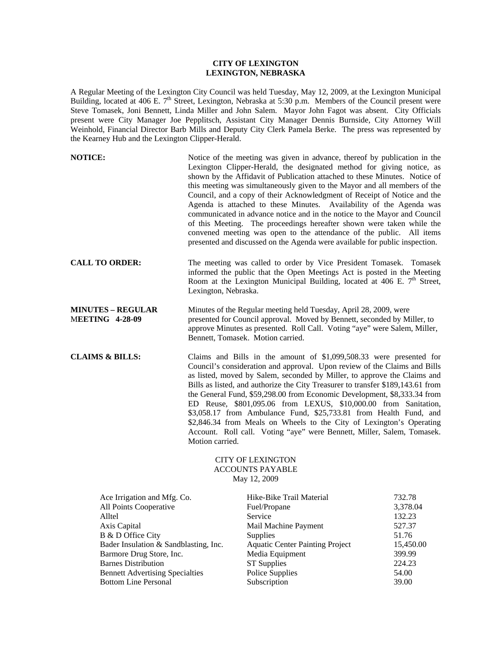## **CITY OF LEXINGTON LEXINGTON, NEBRASKA**

A Regular Meeting of the Lexington City Council was held Tuesday, May 12, 2009, at the Lexington Municipal Building, located at 406 E. 7<sup>th</sup> Street, Lexington, Nebraska at 5:30 p.m. Members of the Council present were Steve Tomasek, Joni Bennett, Linda Miller and John Salem. Mayor John Fagot was absent. City Officials present were City Manager Joe Pepplitsch, Assistant City Manager Dennis Burnside, City Attorney Will Weinhold, Financial Director Barb Mills and Deputy City Clerk Pamela Berke. The press was represented by the Kearney Hub and the Lexington Clipper-Herald.

| <b>NOTICE:</b>                                                                                                                                                                                                                                    |                      | Notice of the meeting was given in advance, thereof by publication in the<br>Lexington Clipper-Herald, the designated method for giving notice, as<br>shown by the Affidavit of Publication attached to these Minutes. Notice of<br>this meeting was simultaneously given to the Mayor and all members of the<br>Council, and a copy of their Acknowledgment of Receipt of Notice and the<br>Agenda is attached to these Minutes. Availability of the Agenda was<br>communicated in advance notice and in the notice to the Mayor and Council<br>of this Meeting. The proceedings hereafter shown were taken while the<br>convened meeting was open to the attendance of the public. All items<br>presented and discussed on the Agenda were available for public inspection. |                                                                                           |  |
|---------------------------------------------------------------------------------------------------------------------------------------------------------------------------------------------------------------------------------------------------|----------------------|-------------------------------------------------------------------------------------------------------------------------------------------------------------------------------------------------------------------------------------------------------------------------------------------------------------------------------------------------------------------------------------------------------------------------------------------------------------------------------------------------------------------------------------------------------------------------------------------------------------------------------------------------------------------------------------------------------------------------------------------------------------------------------|-------------------------------------------------------------------------------------------|--|
| <b>CALL TO ORDER:</b>                                                                                                                                                                                                                             | Lexington, Nebraska. | The meeting was called to order by Vice President Tomasek. Tomasek<br>informed the public that the Open Meetings Act is posted in the Meeting<br>Room at the Lexington Municipal Building, located at 406 E. 7 <sup>th</sup> Street,                                                                                                                                                                                                                                                                                                                                                                                                                                                                                                                                          |                                                                                           |  |
| <b>MINUTES – REGULAR</b><br><b>MEETING 4-28-09</b>                                                                                                                                                                                                |                      | Minutes of the Regular meeting held Tuesday, April 28, 2009, were<br>presented for Council approval. Moved by Bennett, seconded by Miller, to<br>approve Minutes as presented. Roll Call. Voting "aye" were Salem, Miller,<br>Bennett, Tomasek. Motion carried.                                                                                                                                                                                                                                                                                                                                                                                                                                                                                                               |                                                                                           |  |
| <b>CLAIMS &amp; BILLS:</b>                                                                                                                                                                                                                        | Motion carried.      | Claims and Bills in the amount of \$1,099,508.33 were presented for<br>Council's consideration and approval. Upon review of the Claims and Bills<br>as listed, moved by Salem, seconded by Miller, to approve the Claims and<br>Bills as listed, and authorize the City Treasurer to transfer \$189,143.61 from<br>the General Fund, \$59,298.00 from Economic Development, \$8,333.34 from<br>ED Reuse, \$801,095.06 from LEXUS, \$10,000.00 from Sanitation,<br>\$3,058.17 from Ambulance Fund, \$25,733.81 from Health Fund, and<br>\$2,846.34 from Meals on Wheels to the City of Lexington's Operating<br>Account. Roll call. Voting "aye" were Bennett, Miller, Salem, Tomasek.                                                                                         |                                                                                           |  |
|                                                                                                                                                                                                                                                   |                      | <b>CITY OF LEXINGTON</b><br><b>ACCOUNTS PAYABLE</b><br>May 12, 2009                                                                                                                                                                                                                                                                                                                                                                                                                                                                                                                                                                                                                                                                                                           |                                                                                           |  |
| Ace Irrigation and Mfg. Co.<br>All Points Cooperative<br>Alltel<br>Axis Capital<br>B & D Office City<br>Bader Insulation & Sandblasting, Inc.<br>Barmore Drug Store, Inc.<br><b>Barnes Distribution</b><br><b>Bennett Advertising Specialties</b> |                      | Hike-Bike Trail Material<br>Fuel/Propane<br>Service<br>Mail Machine Payment<br>Supplies<br><b>Aquatic Center Painting Project</b><br>Media Equipment<br><b>ST Supplies</b><br><b>Police Supplies</b>                                                                                                                                                                                                                                                                                                                                                                                                                                                                                                                                                                          | 732.78<br>3,378.04<br>132.23<br>527.37<br>51.76<br>15,450.00<br>399.99<br>224.23<br>54.00 |  |

Bottom Line Personal Subscription 39.00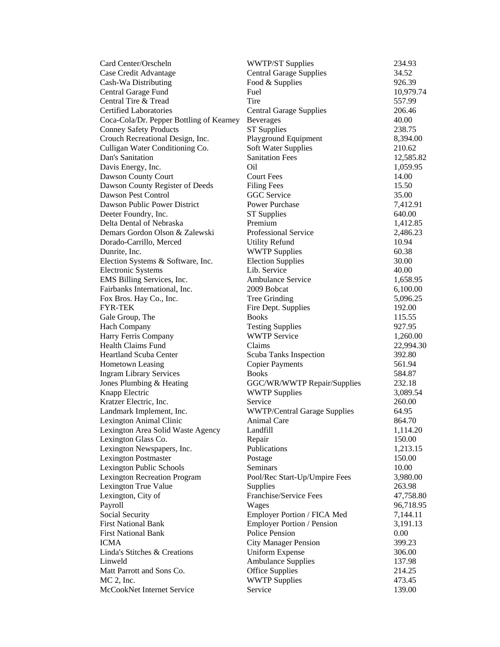| Card Center/Orscheln                     | <b>WWTP/ST Supplies</b>             | 234.93    |
|------------------------------------------|-------------------------------------|-----------|
| Case Credit Advantage                    | <b>Central Garage Supplies</b>      | 34.52     |
| Cash-Wa Distributing                     | Food & Supplies                     | 926.39    |
| Central Garage Fund                      | Fuel                                | 10,979.74 |
| Central Tire & Tread                     | Tire                                | 557.99    |
| <b>Certified Laboratories</b>            | <b>Central Garage Supplies</b>      | 206.46    |
| Coca-Cola/Dr. Pepper Bottling of Kearney | <b>Beverages</b>                    | 40.00     |
| <b>Conney Safety Products</b>            | <b>ST</b> Supplies                  | 238.75    |
| Crouch Recreational Design, Inc.         | Playground Equipment                | 8,394.00  |
| Culligan Water Conditioning Co.          | <b>Soft Water Supplies</b>          | 210.62    |
| Dan's Sanitation                         | <b>Sanitation Fees</b>              | 12,585.82 |
| Davis Energy, Inc.                       | Oil                                 | 1,059.95  |
| Dawson County Court                      | <b>Court Fees</b>                   | 14.00     |
| Dawson County Register of Deeds          | <b>Filing Fees</b>                  | 15.50     |
| Dawson Pest Control                      | <b>GGC</b> Service                  | 35.00     |
| Dawson Public Power District             | Power Purchase                      | 7,412.91  |
| Deeter Foundry, Inc.                     | <b>ST</b> Supplies                  | 640.00    |
| Delta Dental of Nebraska                 | Premium                             | 1,412.85  |
| Demars Gordon Olson & Zalewski           | Professional Service                | 2,486.23  |
| Dorado-Carrillo, Merced                  | <b>Utility Refund</b>               | 10.94     |
| Dunrite, Inc.                            | <b>WWTP Supplies</b>                | 60.38     |
| Election Systems & Software, Inc.        | <b>Election Supplies</b>            | 30.00     |
| <b>Electronic Systems</b>                | Lib. Service                        | 40.00     |
| EMS Billing Services, Inc.               | <b>Ambulance Service</b>            | 1,658.95  |
| Fairbanks International, Inc.            | 2009 Bobcat                         | 6,100.00  |
| Fox Bros. Hay Co., Inc.                  | Tree Grinding                       | 5,096.25  |
| <b>FYR-TEK</b>                           | Fire Dept. Supplies                 | 192.00    |
| Gale Group, The                          | <b>Books</b>                        | 115.55    |
| <b>Hach Company</b>                      | <b>Testing Supplies</b>             | 927.95    |
| Harry Ferris Company                     | <b>WWTP Service</b>                 | 1,260.00  |
| <b>Health Claims Fund</b>                | Claims                              | 22,994.30 |
| <b>Heartland Scuba Center</b>            | Scuba Tanks Inspection              | 392.80    |
| Hometown Leasing                         | <b>Copier Payments</b>              | 561.94    |
| <b>Ingram Library Services</b>           | <b>Books</b>                        | 584.87    |
| Jones Plumbing & Heating                 | GGC/WR/WWTP Repair/Supplies         | 232.18    |
| Knapp Electric                           | <b>WWTP Supplies</b>                | 3,089.54  |
| Kratzer Electric, Inc.                   | Service                             | 260.00    |
| Landmark Implement, Inc.                 | <b>WWTP/Central Garage Supplies</b> | 64.95     |
| Lexington Animal Clinic                  | <b>Animal Care</b>                  | 864.70    |
| Lexington Area Solid Waste Agency        | Landfill                            | 1,114.20  |
| Lexington Glass Co.                      | Repair                              | 150.00    |
| Lexington Newspapers, Inc.               | Publications                        | 1,213.15  |
| <b>Lexington Postmaster</b>              | Postage                             | 150.00    |
| Lexington Public Schools                 | Seminars                            | 10.00     |
| <b>Lexington Recreation Program</b>      | Pool/Rec Start-Up/Umpire Fees       | 3,980.00  |
| Lexington True Value                     | Supplies                            | 263.98    |
| Lexington, City of                       | Franchise/Service Fees              | 47,758.80 |
| Payroll                                  | Wages                               | 96,718.95 |
| Social Security                          | Employer Portion / FICA Med         | 7,144.11  |
| <b>First National Bank</b>               | Employer Portion / Pension          | 3,191.13  |
| <b>First National Bank</b>               | <b>Police Pension</b>               | 0.00      |
| <b>ICMA</b>                              | <b>City Manager Pension</b>         | 399.23    |
| Linda's Stitches & Creations             | <b>Uniform Expense</b>              | 306.00    |
| Linweld                                  | <b>Ambulance Supplies</b>           | 137.98    |
| Matt Parrott and Sons Co.                | <b>Office Supplies</b>              | 214.25    |
| $MC$ 2, Inc.                             | <b>WWTP Supplies</b>                | 473.45    |
| McCookNet Internet Service               | Service                             | 139.00    |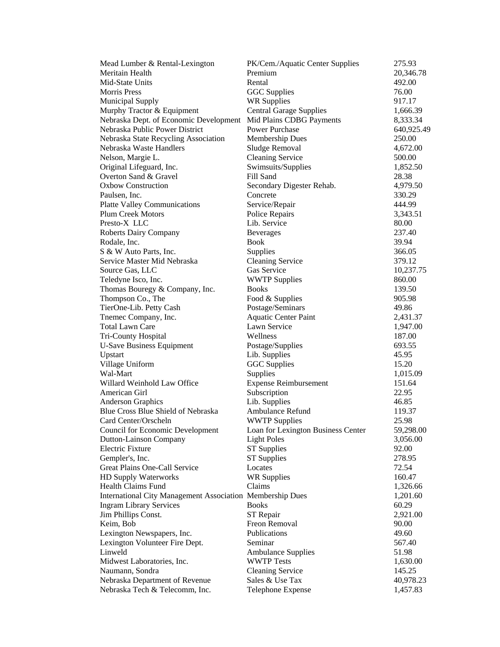| Mead Lumber & Rental-Lexington                                   | PK/Cem./Aquatic Center Supplies    | 275.93     |
|------------------------------------------------------------------|------------------------------------|------------|
| Meritain Health                                                  | Premium                            | 20,346.78  |
| Mid-State Units                                                  | Rental                             | 492.00     |
| <b>Morris</b> Press                                              | <b>GGC</b> Supplies                | 76.00      |
| <b>Municipal Supply</b>                                          | <b>WR Supplies</b>                 | 917.17     |
| Murphy Tractor & Equipment                                       | <b>Central Garage Supplies</b>     | 1,666.39   |
| Nebraska Dept. of Economic Development                           | Mid Plains CDBG Payments           | 8,333.34   |
| Nebraska Public Power District                                   | <b>Power Purchase</b>              | 640,925.49 |
| Nebraska State Recycling Association                             | <b>Membership Dues</b>             | 250.00     |
| Nebraska Waste Handlers                                          | Sludge Removal                     | 4,672.00   |
| Nelson, Margie L.                                                | <b>Cleaning Service</b>            | 500.00     |
| Original Lifeguard, Inc.                                         | Swimsuits/Supplies                 | 1,852.50   |
| Overton Sand & Gravel                                            | Fill Sand                          | 28.38      |
| <b>Oxbow Construction</b>                                        | Secondary Digester Rehab.          | 4,979.50   |
| Paulsen, Inc.                                                    | Concrete                           | 330.29     |
| <b>Platte Valley Communications</b>                              | Service/Repair                     | 444.99     |
| <b>Plum Creek Motors</b>                                         | Police Repairs                     | 3,343.51   |
| Presto-X LLC                                                     | Lib. Service                       | 80.00      |
| Roberts Dairy Company                                            | <b>Beverages</b>                   | 237.40     |
| Rodale, Inc.                                                     | Book                               | 39.94      |
| S & W Auto Parts, Inc.                                           | Supplies                           | 366.05     |
| Service Master Mid Nebraska                                      | <b>Cleaning Service</b>            | 379.12     |
| Source Gas, LLC                                                  | Gas Service                        | 10,237.75  |
| Teledyne Isco, Inc.                                              | <b>WWTP Supplies</b>               | 860.00     |
| Thomas Bouregy & Company, Inc.                                   | <b>Books</b>                       | 139.50     |
| Thompson Co., The                                                | Food & Supplies                    | 905.98     |
| TierOne-Lib. Petty Cash                                          | Postage/Seminars                   | 49.86      |
| Tnemec Company, Inc.                                             | <b>Aquatic Center Paint</b>        | 2,431.37   |
| <b>Total Lawn Care</b>                                           | Lawn Service                       | 1,947.00   |
| Tri-County Hospital                                              | Wellness                           | 187.00     |
| <b>U-Save Business Equipment</b>                                 | Postage/Supplies                   | 693.55     |
| Upstart                                                          | Lib. Supplies                      | 45.95      |
| Village Uniform                                                  | <b>GGC</b> Supplies                | 15.20      |
| Wal-Mart                                                         | Supplies                           | 1,015.09   |
| Willard Weinhold Law Office                                      | <b>Expense Reimbursement</b>       | 151.64     |
| American Girl                                                    | Subscription                       | 22.95      |
| <b>Anderson Graphics</b>                                         | Lib. Supplies                      | 46.85      |
| Blue Cross Blue Shield of Nebraska                               | Ambulance Refund                   | 119.37     |
| Card Center/Orscheln                                             | <b>WWTP Supplies</b>               | 25.98      |
| <b>Council for Economic Development</b>                          | Loan for Lexington Business Center | 59,298.00  |
| Dutton-Lainson Company                                           | <b>Light Poles</b>                 | 3,056.00   |
| <b>Electric Fixture</b>                                          | <b>ST Supplies</b>                 | 92.00      |
| Gempler's, Inc.                                                  | <b>ST Supplies</b>                 | 278.95     |
| Great Plains One-Call Service                                    | Locates                            | 72.54      |
| HD Supply Waterworks                                             | <b>WR Supplies</b>                 | 160.47     |
| <b>Health Claims Fund</b>                                        | Claims                             | 1,326.66   |
| <b>International City Management Association Membership Dues</b> |                                    | 1,201.60   |
| <b>Ingram Library Services</b>                                   | <b>Books</b>                       | 60.29      |
| Jim Phillips Const.                                              | ST Repair                          | 2,921.00   |
| Keim, Bob                                                        | Freon Removal                      | 90.00      |
| Lexington Newspapers, Inc.                                       | Publications                       | 49.60      |
| Lexington Volunteer Fire Dept.                                   | Seminar                            | 567.40     |
| Linweld                                                          | <b>Ambulance Supplies</b>          | 51.98      |
| Midwest Laboratories, Inc.                                       | <b>WWTP Tests</b>                  | 1,630.00   |
| Naumann, Sondra                                                  | <b>Cleaning Service</b>            | 145.25     |
| Nebraska Department of Revenue                                   | Sales & Use Tax                    | 40,978.23  |
| Nebraska Tech & Telecomm, Inc.                                   | Telephone Expense                  | 1,457.83   |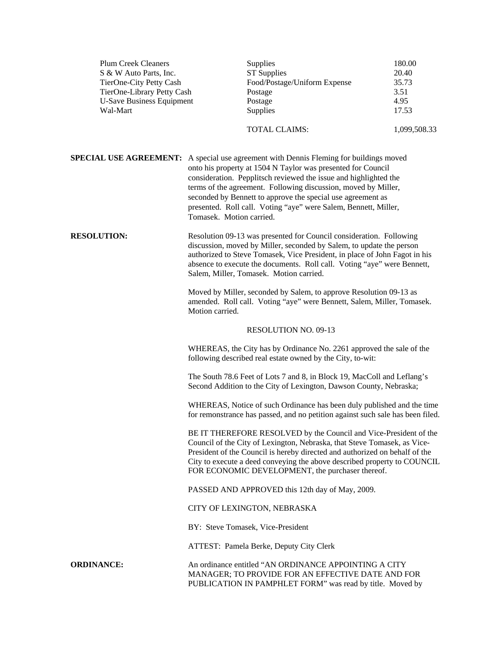| <b>Plum Creek Cleaners</b><br>S & W Auto Parts, Inc.<br>TierOne-City Petty Cash<br>TierOne-Library Petty Cash<br><b>U-Save Business Equipment</b><br>Wal-Mart |                                                                                                                                                                                                                                                                                                                                                              | Supplies<br><b>ST Supplies</b><br>Food/Postage/Uniform Expense<br>Postage<br>Postage<br>Supplies                                                                                                                                                                                                                                                                                                                                      | 180.00<br>20.40<br>35.73<br>3.51<br>4.95<br>17.53 |  |
|---------------------------------------------------------------------------------------------------------------------------------------------------------------|--------------------------------------------------------------------------------------------------------------------------------------------------------------------------------------------------------------------------------------------------------------------------------------------------------------------------------------------------------------|---------------------------------------------------------------------------------------------------------------------------------------------------------------------------------------------------------------------------------------------------------------------------------------------------------------------------------------------------------------------------------------------------------------------------------------|---------------------------------------------------|--|
|                                                                                                                                                               |                                                                                                                                                                                                                                                                                                                                                              | TOTAL CLAIMS:                                                                                                                                                                                                                                                                                                                                                                                                                         | 1,099,508.33                                      |  |
|                                                                                                                                                               | Tomasek. Motion carried.                                                                                                                                                                                                                                                                                                                                     | <b>SPECIAL USE AGREEMENT:</b> A special use agreement with Dennis Fleming for buildings moved<br>onto his property at 1504 N Taylor was presented for Council<br>consideration. Pepplitsch reviewed the issue and highlighted the<br>terms of the agreement. Following discussion, moved by Miller,<br>seconded by Bennett to approve the special use agreement as<br>presented. Roll call. Voting "aye" were Salem, Bennett, Miller, |                                                   |  |
| <b>RESOLUTION:</b>                                                                                                                                            | Resolution 09-13 was presented for Council consideration. Following<br>discussion, moved by Miller, seconded by Salem, to update the person<br>authorized to Steve Tomasek, Vice President, in place of John Fagot in his<br>absence to execute the documents. Roll call. Voting "aye" were Bennett,<br>Salem, Miller, Tomasek. Motion carried.              |                                                                                                                                                                                                                                                                                                                                                                                                                                       |                                                   |  |
|                                                                                                                                                               | Moved by Miller, seconded by Salem, to approve Resolution 09-13 as<br>amended. Roll call. Voting "aye" were Bennett, Salem, Miller, Tomasek.<br>Motion carried.                                                                                                                                                                                              |                                                                                                                                                                                                                                                                                                                                                                                                                                       |                                                   |  |
|                                                                                                                                                               |                                                                                                                                                                                                                                                                                                                                                              | <b>RESOLUTION NO. 09-13</b>                                                                                                                                                                                                                                                                                                                                                                                                           |                                                   |  |
|                                                                                                                                                               | WHEREAS, the City has by Ordinance No. 2261 approved the sale of the<br>following described real estate owned by the City, to-wit:                                                                                                                                                                                                                           |                                                                                                                                                                                                                                                                                                                                                                                                                                       |                                                   |  |
|                                                                                                                                                               | The South 78.6 Feet of Lots 7 and 8, in Block 19, MacColl and Leflang's<br>Second Addition to the City of Lexington, Dawson County, Nebraska;                                                                                                                                                                                                                |                                                                                                                                                                                                                                                                                                                                                                                                                                       |                                                   |  |
|                                                                                                                                                               | WHEREAS, Notice of such Ordinance has been duly published and the time<br>for remonstrance has passed, and no petition against such sale has been filed.                                                                                                                                                                                                     |                                                                                                                                                                                                                                                                                                                                                                                                                                       |                                                   |  |
|                                                                                                                                                               | BE IT THEREFORE RESOLVED by the Council and Vice-President of the<br>Council of the City of Lexington, Nebraska, that Steve Tomasek, as Vice-<br>President of the Council is hereby directed and authorized on behalf of the<br>City to execute a deed conveying the above described property to COUNCIL<br>FOR ECONOMIC DEVELOPMENT, the purchaser thereof. |                                                                                                                                                                                                                                                                                                                                                                                                                                       |                                                   |  |
|                                                                                                                                                               | PASSED AND APPROVED this 12th day of May, 2009.                                                                                                                                                                                                                                                                                                              |                                                                                                                                                                                                                                                                                                                                                                                                                                       |                                                   |  |
|                                                                                                                                                               | CITY OF LEXINGTON, NEBRASKA                                                                                                                                                                                                                                                                                                                                  |                                                                                                                                                                                                                                                                                                                                                                                                                                       |                                                   |  |
|                                                                                                                                                               | BY: Steve Tomasek, Vice-President                                                                                                                                                                                                                                                                                                                            |                                                                                                                                                                                                                                                                                                                                                                                                                                       |                                                   |  |
|                                                                                                                                                               | ATTEST: Pamela Berke, Deputy City Clerk                                                                                                                                                                                                                                                                                                                      |                                                                                                                                                                                                                                                                                                                                                                                                                                       |                                                   |  |
| <b>ORDINANCE:</b>                                                                                                                                             |                                                                                                                                                                                                                                                                                                                                                              | An ordinance entitled "AN ORDINANCE APPOINTING A CITY<br>MANAGER; TO PROVIDE FOR AN EFFECTIVE DATE AND FOR<br>PUBLICATION IN PAMPHLET FORM" was read by title. Moved by                                                                                                                                                                                                                                                               |                                                   |  |